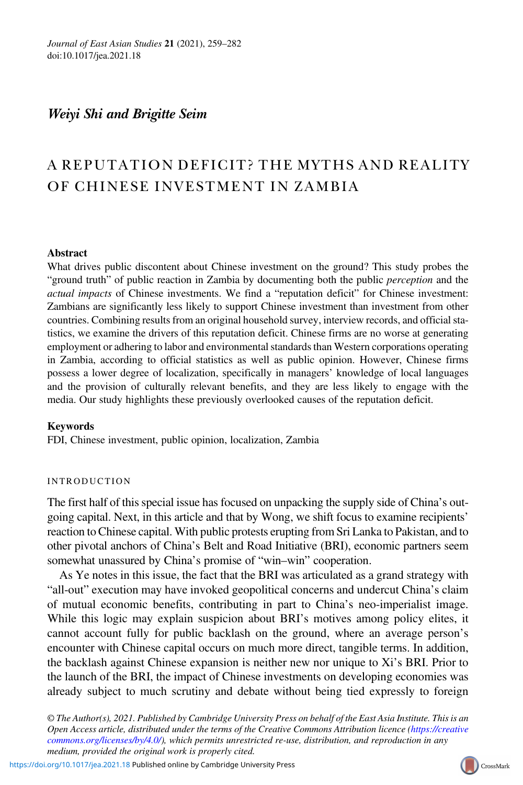# Weiyi Shi and Brigitte Seim

# A REPUTATION DEFICIT? THE MYTHS AND REALITY OF CHINESE INVESTMENT IN ZAMBIA

#### Abstract

What drives public discontent about Chinese investment on the ground? This study probes the "ground truth" of public reaction in Zambia by documenting both the public perception and the actual impacts of Chinese investments. We find a "reputation deficit" for Chinese investment: Zambians are significantly less likely to support Chinese investment than investment from other countries. Combining results from an original household survey, interview records, and official statistics, we examine the drivers of this reputation deficit. Chinese firms are no worse at generating employment or adhering to labor and environmental standards than Western corporations operating in Zambia, according to official statistics as well as public opinion. However, Chinese firms possess a lower degree of localization, specifically in managers' knowledge of local languages and the provision of culturally relevant benefits, and they are less likely to engage with the media. Our study highlights these previously overlooked causes of the reputation deficit.

#### Keywords

FDI, Chinese investment, public opinion, localization, Zambia

# INTRODUCTION

The first half of this special issue has focused on unpacking the supply side of China's outgoing capital. Next, in this article and that by Wong, we shift focus to examine recipients' reaction to Chinese capital. With public protests erupting from Sri Lanka to Pakistan, and to other pivotal anchors of China's Belt and Road Initiative (BRI), economic partners seem somewhat unassured by China's promise of "win–win" cooperation.

As Ye notes in this issue, the fact that the BRI was articulated as a grand strategy with "all-out" execution may have invoked geopolitical concerns and undercut China's claim of mutual economic benefits, contributing in part to China's neo-imperialist image. While this logic may explain suspicion about BRI's motives among policy elites, it cannot account fully for public backlash on the ground, where an average person's encounter with Chinese capital occurs on much more direct, tangible terms. In addition, the backlash against Chinese expansion is neither new nor unique to Xi's BRI. Prior to the launch of the BRI, the impact of Chinese investments on developing economies was already subject to much scrutiny and debate without being tied expressly to foreign

© The Author(s), 2021. Published by Cambridge University Press on behalf of the East Asia Institute. This is an Open Access article, distributed under the terms of the Creative Commons Attribution licence [\(https://creative](https://creativecommons.org/licenses/by/4.0/) [commons.org/licenses/by/4.0/](https://creativecommons.org/licenses/by/4.0/)), which permits unrestricted re-use, distribution, and reproduction in any medium, provided the original work is properly cited.

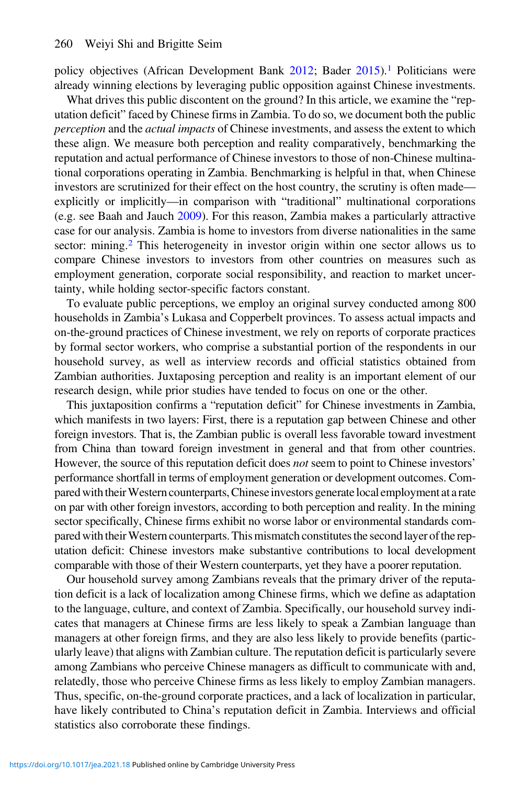policy objectives (African Development Bank [2012](#page-20-0); Bader [2015](#page-21-0)).<sup>[1](#page-19-0)</sup> Politicians were already winning elections by leveraging public opposition against Chinese investments.

What drives this public discontent on the ground? In this article, we examine the "reputation deficit" faced by Chinese firms in Zambia. To do so, we document both the public perception and the actual impacts of Chinese investments, and assess the extent to which these align. We measure both perception and reality comparatively, benchmarking the reputation and actual performance of Chinese investors to those of non-Chinese multinational corporations operating in Zambia. Benchmarking is helpful in that, when Chinese investors are scrutinized for their effect on the host country, the scrutiny is often made explicitly or implicitly—in comparison with "traditional" multinational corporations (e.g. see Baah and Jauch [2009\)](#page-21-0). For this reason, Zambia makes a particularly attractive case for our analysis. Zambia is home to investors from diverse nationalities in the same sector: mining.[2](#page-19-0) This heterogeneity in investor origin within one sector allows us to compare Chinese investors to investors from other countries on measures such as employment generation, corporate social responsibility, and reaction to market uncertainty, while holding sector-specific factors constant.

To evaluate public perceptions, we employ an original survey conducted among 800 households in Zambia's Lukasa and Copperbelt provinces. To assess actual impacts and on-the-ground practices of Chinese investment, we rely on reports of corporate practices by formal sector workers, who comprise a substantial portion of the respondents in our household survey, as well as interview records and official statistics obtained from Zambian authorities. Juxtaposing perception and reality is an important element of our research design, while prior studies have tended to focus on one or the other.

This juxtaposition confirms a "reputation deficit" for Chinese investments in Zambia, which manifests in two layers: First, there is a reputation gap between Chinese and other foreign investors. That is, the Zambian public is overall less favorable toward investment from China than toward foreign investment in general and that from other countries. However, the source of this reputation deficit does not seem to point to Chinese investors' performance shortfall in terms of employment generation or development outcomes. Compared with their Western counterparts, Chinese investors generate local employment at a rate on par with other foreign investors, according to both perception and reality. In the mining sector specifically, Chinese firms exhibit no worse labor or environmental standards compared with their Western counterparts. This mismatch constitutes the second layer of the reputation deficit: Chinese investors make substantive contributions to local development comparable with those of their Western counterparts, yet they have a poorer reputation.

Our household survey among Zambians reveals that the primary driver of the reputation deficit is a lack of localization among Chinese firms, which we define as adaptation to the language, culture, and context of Zambia. Specifically, our household survey indicates that managers at Chinese firms are less likely to speak a Zambian language than managers at other foreign firms, and they are also less likely to provide benefits (particularly leave) that aligns with Zambian culture. The reputation deficit is particularly severe among Zambians who perceive Chinese managers as difficult to communicate with and, relatedly, those who perceive Chinese firms as less likely to employ Zambian managers. Thus, specific, on-the-ground corporate practices, and a lack of localization in particular, have likely contributed to China's reputation deficit in Zambia. Interviews and official statistics also corroborate these findings.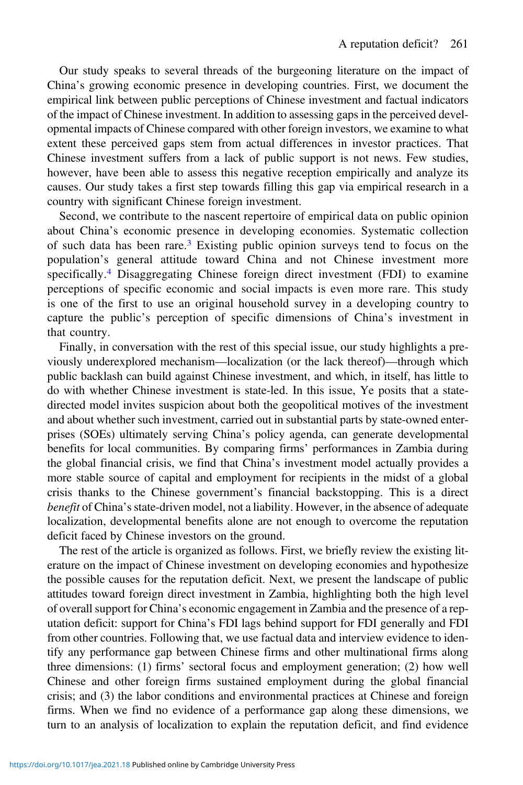Our study speaks to several threads of the burgeoning literature on the impact of China's growing economic presence in developing countries. First, we document the empirical link between public perceptions of Chinese investment and factual indicators of the impact of Chinese investment. In addition to assessing gaps in the perceived developmental impacts of Chinese compared with other foreign investors, we examine to what extent these perceived gaps stem from actual differences in investor practices. That Chinese investment suffers from a lack of public support is not news. Few studies, however, have been able to assess this negative reception empirically and analyze its causes. Our study takes a first step towards filling this gap via empirical research in a country with significant Chinese foreign investment.

Second, we contribute to the nascent repertoire of empirical data on public opinion about China's economic presence in developing economies. Systematic collection of such data has been rare.<sup>[3](#page-19-0)</sup> Existing public opinion surveys tend to focus on the population's general attitude toward China and not Chinese investment more specifically.<sup>[4](#page-19-0)</sup> Disaggregating Chinese foreign direct investment (FDI) to examine perceptions of specific economic and social impacts is even more rare. This study is one of the first to use an original household survey in a developing country to capture the public's perception of specific dimensions of China's investment in that country.

Finally, in conversation with the rest of this special issue, our study highlights a previously underexplored mechanism—localization (or the lack thereof)—through which public backlash can build against Chinese investment, and which, in itself, has little to do with whether Chinese investment is state-led. In this issue, Ye posits that a statedirected model invites suspicion about both the geopolitical motives of the investment and about whether such investment, carried out in substantial parts by state-owned enterprises (SOEs) ultimately serving China's policy agenda, can generate developmental benefits for local communities. By comparing firms' performances in Zambia during the global financial crisis, we find that China's investment model actually provides a more stable source of capital and employment for recipients in the midst of a global crisis thanks to the Chinese government's financial backstopping. This is a direct benefit of China's state-driven model, not a liability. However, in the absence of adequate localization, developmental benefits alone are not enough to overcome the reputation deficit faced by Chinese investors on the ground.

The rest of the article is organized as follows. First, we briefly review the existing literature on the impact of Chinese investment on developing economies and hypothesize the possible causes for the reputation deficit. Next, we present the landscape of public attitudes toward foreign direct investment in Zambia, highlighting both the high level of overall support for China's economic engagement in Zambia and the presence of a reputation deficit: support for China's FDI lags behind support for FDI generally and FDI from other countries. Following that, we use factual data and interview evidence to identify any performance gap between Chinese firms and other multinational firms along three dimensions: (1) firms' sectoral focus and employment generation; (2) how well Chinese and other foreign firms sustained employment during the global financial crisis; and (3) the labor conditions and environmental practices at Chinese and foreign firms. When we find no evidence of a performance gap along these dimensions, we turn to an analysis of localization to explain the reputation deficit, and find evidence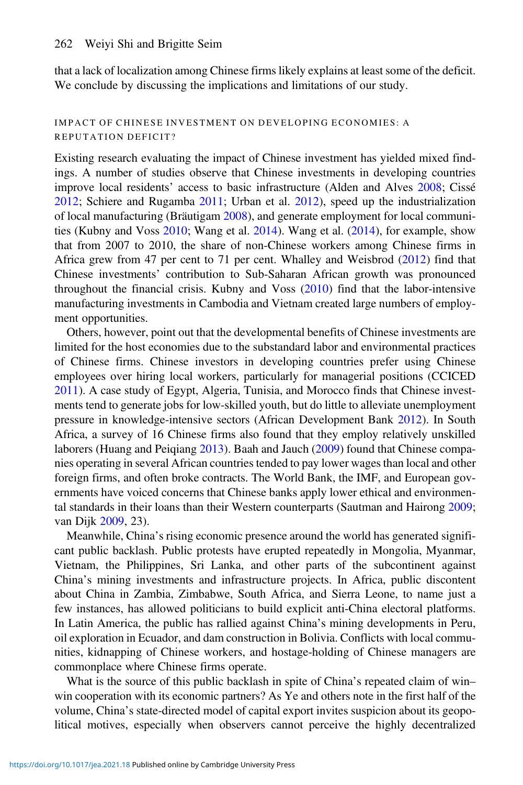that a lack of localization among Chinese firms likely explains at least some of the deficit. We conclude by discussing the implications and limitations of our study.

# IMPACT OF CHINESE INVESTMENT ON DEVELOPING ECONOMIES: A REPUTATION DEFICIT?

Existing research evaluating the impact of Chinese investment has yielded mixed findings. A number of studies observe that Chinese investments in developing countries improve local residents' access to basic infrastructure (Alden and Alves [2008;](#page-20-0) Cissé [2012](#page-21-0); Schiere and Rugamba [2011;](#page-21-0) Urban et al. [2012\)](#page-22-0), speed up the industrialization of local manufacturing (Bräutigam [2008](#page-21-0)), and generate employment for local communities (Kubny and Voss [2010;](#page-21-0) Wang et al. [2014](#page-22-0)). Wang et al. [\(2014](#page-22-0)), for example, show that from 2007 to 2010, the share of non-Chinese workers among Chinese firms in Africa grew from 47 per cent to 71 per cent. Whalley and Weisbrod [\(2012](#page-22-0)) find that Chinese investments' contribution to Sub-Saharan African growth was pronounced throughout the financial crisis. Kubny and Voss [\(2010\)](#page-21-0) find that the labor-intensive manufacturing investments in Cambodia and Vietnam created large numbers of employment opportunities.

Others, however, point out that the developmental benefits of Chinese investments are limited for the host economies due to the substandard labor and environmental practices of Chinese firms. Chinese investors in developing countries prefer using Chinese employees over hiring local workers, particularly for managerial positions (CCICED [2011](#page-21-0)). A case study of Egypt, Algeria, Tunisia, and Morocco finds that Chinese investments tend to generate jobs for low-skilled youth, but do little to alleviate unemployment pressure in knowledge-intensive sectors (African Development Bank [2012\)](#page-20-0). In South Africa, a survey of 16 Chinese firms also found that they employ relatively unskilled laborers (Huang and Peiqiang [2013\)](#page-21-0). Baah and Jauch ([2009\)](#page-21-0) found that Chinese companies operating in several African countries tended to pay lower wages than local and other foreign firms, and often broke contracts. The World Bank, the IMF, and European governments have voiced concerns that Chinese banks apply lower ethical and environmental standards in their loans than their Western counterparts (Sautman and Hairong [2009](#page-21-0); van Dijk [2009,](#page-22-0) 23).

Meanwhile, China's rising economic presence around the world has generated significant public backlash. Public protests have erupted repeatedly in Mongolia, Myanmar, Vietnam, the Philippines, Sri Lanka, and other parts of the subcontinent against China's mining investments and infrastructure projects. In Africa, public discontent about China in Zambia, Zimbabwe, South Africa, and Sierra Leone, to name just a few instances, has allowed politicians to build explicit anti-China electoral platforms. In Latin America, the public has rallied against China's mining developments in Peru, oil exploration in Ecuador, and dam construction in Bolivia. Conflicts with local communities, kidnapping of Chinese workers, and hostage-holding of Chinese managers are commonplace where Chinese firms operate.

What is the source of this public backlash in spite of China's repeated claim of win– win cooperation with its economic partners? As Ye and others note in the first half of the volume, China's state-directed model of capital export invites suspicion about its geopolitical motives, especially when observers cannot perceive the highly decentralized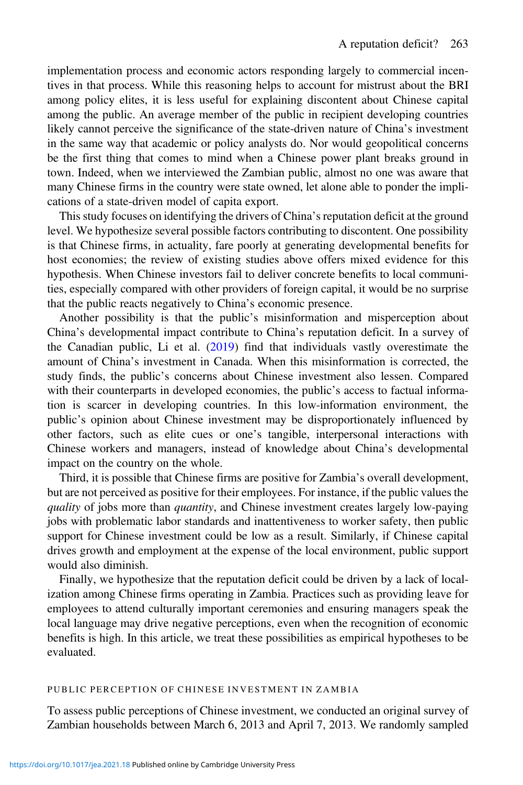implementation process and economic actors responding largely to commercial incentives in that process. While this reasoning helps to account for mistrust about the BRI among policy elites, it is less useful for explaining discontent about Chinese capital among the public. An average member of the public in recipient developing countries likely cannot perceive the significance of the state-driven nature of China's investment in the same way that academic or policy analysts do. Nor would geopolitical concerns be the first thing that comes to mind when a Chinese power plant breaks ground in town. Indeed, when we interviewed the Zambian public, almost no one was aware that many Chinese firms in the country were state owned, let alone able to ponder the implications of a state-driven model of capita export.

This study focuses on identifying the drivers of China's reputation deficit at the ground level. We hypothesize several possible factors contributing to discontent. One possibility is that Chinese firms, in actuality, fare poorly at generating developmental benefits for host economies; the review of existing studies above offers mixed evidence for this hypothesis. When Chinese investors fail to deliver concrete benefits to local communities, especially compared with other providers of foreign capital, it would be no surprise that the public reacts negatively to China's economic presence.

Another possibility is that the public's misinformation and misperception about China's developmental impact contribute to China's reputation deficit. In a survey of the Canadian public, Li et al. ([2019\)](#page-21-0) find that individuals vastly overestimate the amount of China's investment in Canada. When this misinformation is corrected, the study finds, the public's concerns about Chinese investment also lessen. Compared with their counterparts in developed economies, the public's access to factual information is scarcer in developing countries. In this low-information environment, the public's opinion about Chinese investment may be disproportionately influenced by other factors, such as elite cues or one's tangible, interpersonal interactions with Chinese workers and managers, instead of knowledge about China's developmental impact on the country on the whole.

Third, it is possible that Chinese firms are positive for Zambia's overall development, but are not perceived as positive for their employees. For instance, if the public values the quality of jobs more than *quantity*, and Chinese investment creates largely low-paying jobs with problematic labor standards and inattentiveness to worker safety, then public support for Chinese investment could be low as a result. Similarly, if Chinese capital drives growth and employment at the expense of the local environment, public support would also diminish.

Finally, we hypothesize that the reputation deficit could be driven by a lack of localization among Chinese firms operating in Zambia. Practices such as providing leave for employees to attend culturally important ceremonies and ensuring managers speak the local language may drive negative perceptions, even when the recognition of economic benefits is high. In this article, we treat these possibilities as empirical hypotheses to be evaluated.

# PUBLIC PERCEPTION OF CHINESE INVESTMENT IN ZAMBIA

To assess public perceptions of Chinese investment, we conducted an original survey of Zambian households between March 6, 2013 and April 7, 2013. We randomly sampled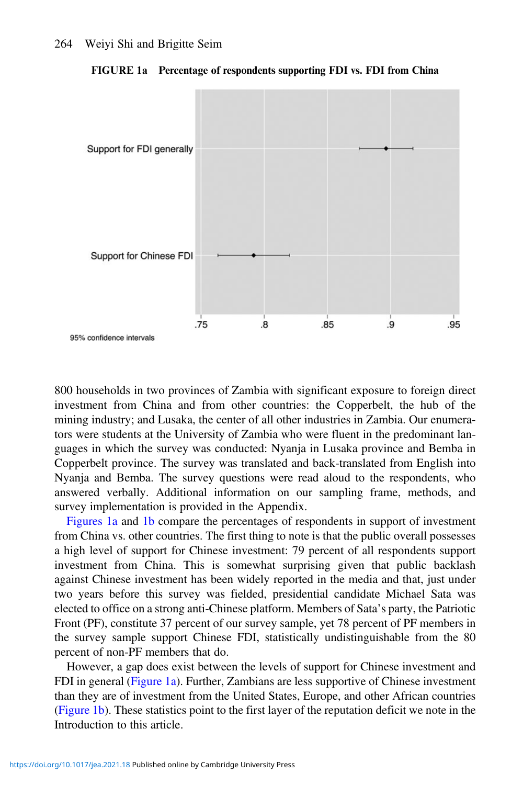

FIGURE 1a Percentage of respondents supporting FDI vs. FDI from China

800 households in two provinces of Zambia with significant exposure to foreign direct investment from China and from other countries: the Copperbelt, the hub of the mining industry; and Lusaka, the center of all other industries in Zambia. Our enumerators were students at the University of Zambia who were fluent in the predominant languages in which the survey was conducted: Nyanja in Lusaka province and Bemba in Copperbelt province. The survey was translated and back-translated from English into Nyanja and Bemba. The survey questions were read aloud to the respondents, who answered verbally. Additional information on our sampling frame, methods, and survey implementation is provided in the Appendix.

Figures 1a and [1b](#page-6-0) compare the percentages of respondents in support of investment from China vs. other countries. The first thing to note is that the public overall possesses a high level of support for Chinese investment: 79 percent of all respondents support investment from China. This is somewhat surprising given that public backlash against Chinese investment has been widely reported in the media and that, just under two years before this survey was fielded, presidential candidate Michael Sata was elected to office on a strong anti-Chinese platform. Members of Sata's party, the Patriotic Front (PF), constitute 37 percent of our survey sample, yet 78 percent of PF members in the survey sample support Chinese FDI, statistically undistinguishable from the 80 percent of non-PF members that do.

However, a gap does exist between the levels of support for Chinese investment and FDI in general (Figure 1a). Further, Zambians are less supportive of Chinese investment than they are of investment from the United States, Europe, and other African countries [\(Figure 1b](#page-6-0)). These statistics point to the first layer of the reputation deficit we note in the Introduction to this article.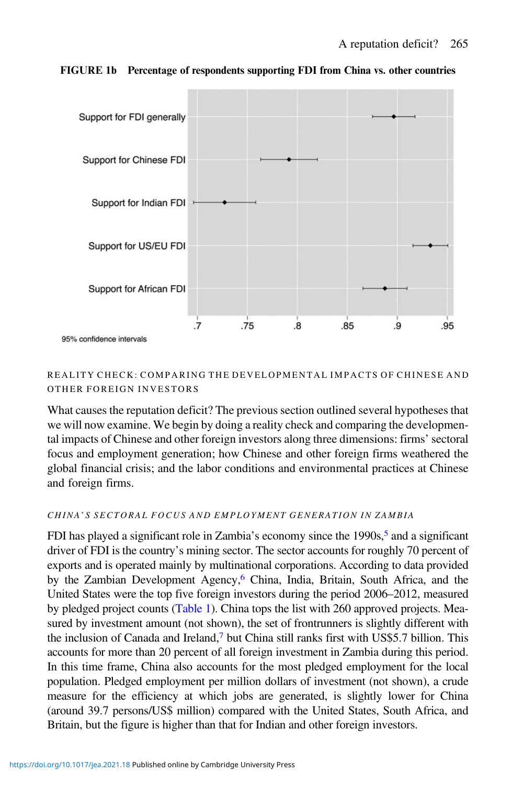

<span id="page-6-0"></span>FIGURE 1b Percentage of respondents supporting FDI from China vs. other countries

# REALITY CHECK: COMPARING THE DEVELOPMENTAL IMPACTS OF CHINESE AND OTHER FOREIGN INVESTORS

What causes the reputation deficit? The previous section outlined several hypotheses that we will now examine. We begin by doing a reality check and comparing the developmental impacts of Chinese and other foreign investors along three dimensions: firms' sectoral focus and employment generation; how Chinese and other foreign firms weathered the global financial crisis; and the labor conditions and environmental practices at Chinese and foreign firms.

# CHINA ' S SECTORAL FOCUS AND EMPLOYMENT GENERATION IN ZAMBIA

FDI has played a significant role in Zambia's economy since the  $1990s<sup>5</sup>$  and a significant driver of FDI is the country's mining sector. The sector accounts for roughly 70 percent of exports and is operated mainly by multinational corporations. According to data provided by the Zambian Development Agency,<sup>[6](#page-19-0)</sup> China, India, Britain, South Africa, and the United States were the top five foreign investors during the period 2006–2012, measured by pledged project counts [\(Table 1](#page-7-0)). China tops the list with 260 approved projects. Measured by investment amount (not shown), the set of frontrunners is slightly different with the inclusion of Canada and Ireland,<sup>7</sup> but China still ranks first with US\$5.7 billion. This accounts for more than 20 percent of all foreign investment in Zambia during this period. In this time frame, China also accounts for the most pledged employment for the local population. Pledged employment per million dollars of investment (not shown), a crude measure for the efficiency at which jobs are generated, is slightly lower for China (around 39.7 persons/US\$ million) compared with the United States, South Africa, and Britain, but the figure is higher than that for Indian and other foreign investors.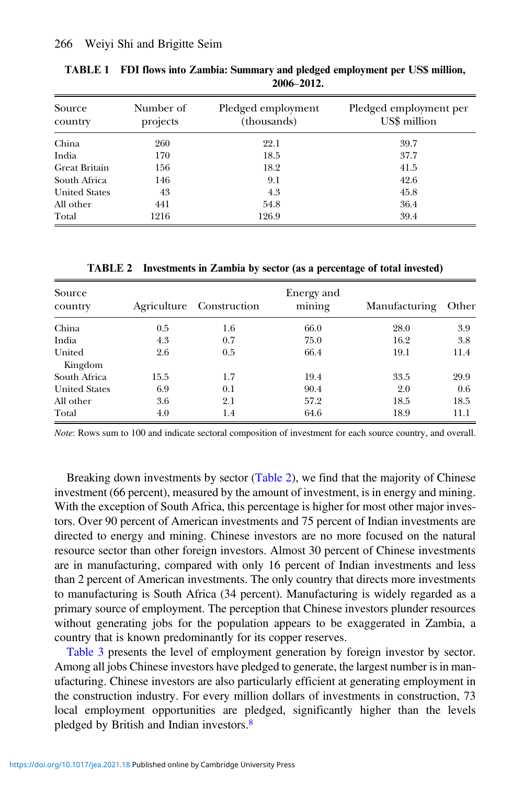| Source<br>country    | Number of<br>projects | Pledged employment<br>(thousands) | Pledged employment per<br>US\$ million |
|----------------------|-----------------------|-----------------------------------|----------------------------------------|
| China                | 260                   | 22.1                              | 39.7                                   |
| India                | 170                   | 18.5                              | 37.7                                   |
| Great Britain        | 156                   | 18.2                              | 41.5                                   |
| South Africa         | 146                   | 9.1                               | 42.6                                   |
| <b>United States</b> | 43                    | 4.3                               | 45.8                                   |
| All other            | 441                   | 54.8                              | 36.4                                   |
| Total                | 1216                  | 126.9                             | 39.4                                   |

<span id="page-7-0"></span>TABLE 1 FDI flows into Zambia: Summary and pledged employment per US\$ million, 2006–2012.

TABLE 2 Investments in Zambia by sector (as a percentage of total invested)

| Source               | Agriculture | Construction | Energy and<br>mining | Manufacturing | Other |
|----------------------|-------------|--------------|----------------------|---------------|-------|
| country              |             |              |                      |               |       |
| China                | 0.5         | 1.6          | 66.0                 | 28.0          | 3.9   |
| India                | 4.3         | 0.7          | 75.0                 | 16.2          | 3.8   |
| United               | 2.6         | 0.5          | 66.4                 | 19.1          | 11.4  |
| Kingdom              |             |              |                      |               |       |
| South Africa         | 15.5        | 1.7          | 19.4                 | 33.5          | 29.9  |
| <b>United States</b> | 6.9         | 0.1          | 90.4                 | 2.0           | 0.6   |
| All other            | 3.6         | 2.1          | 57.2                 | 18.5          | 18.5  |
| Total                | 4.0         | 1.4          | 64.6                 | 18.9          | 11.1  |

Note: Rows sum to 100 and indicate sectoral composition of investment for each source country, and overall.

Breaking down investments by sector (Table 2), we find that the majority of Chinese investment (66 percent), measured by the amount of investment, is in energy and mining. With the exception of South Africa, this percentage is higher for most other major investors. Over 90 percent of American investments and 75 percent of Indian investments are directed to energy and mining. Chinese investors are no more focused on the natural resource sector than other foreign investors. Almost 30 percent of Chinese investments are in manufacturing, compared with only 16 percent of Indian investments and less than 2 percent of American investments. The only country that directs more investments to manufacturing is South Africa (34 percent). Manufacturing is widely regarded as a primary source of employment. The perception that Chinese investors plunder resources without generating jobs for the population appears to be exaggerated in Zambia, a country that is known predominantly for its copper reserves.

[Table 3](#page-8-0) presents the level of employment generation by foreign investor by sector. Among all jobs Chinese investors have pledged to generate, the largest number is in manufacturing. Chinese investors are also particularly efficient at generating employment in the construction industry. For every million dollars of investments in construction, 73 local employment opportunities are pledged, significantly higher than the levels pledged by British and Indian investors.[8](#page-20-0)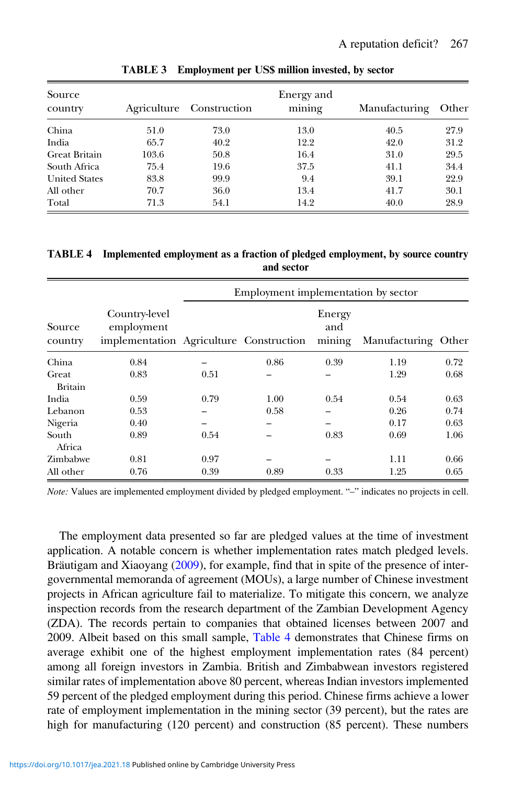<span id="page-8-0"></span>

| Source<br>country    | Agriculture | Construction | Energy and<br>mining | Manufacturing | Other |
|----------------------|-------------|--------------|----------------------|---------------|-------|
| China                | 51.0        | 73.0         | 13.0                 | 40.5          | 27.9  |
| India                | 65.7        | 40.2         | 12.2                 | 42.0          | 31.2  |
| Great Britain        | 103.6       | 50.8         | 16.4                 | 31.0          | 29.5  |
| South Africa         | 75.4        | 19.6         | 37.5                 | 41.1          | 34.4  |
| <b>United States</b> | 83.8        | 99.9         | 9.4                  | 39.1          | 22.9  |
| All other            | 70.7        | 36.0         | 13.4                 | 41.7          | 30.1  |
| Total                | 71.3        | 54.1         | 14.2                 | 40.0          | 28.9  |

TABLE 3 Employment per US\$ million invested, by sector

TABLE 4 Implemented employment as a fraction of pledged employment, by source country and sector

|                         |                                                                        | Employment implementation by sector |      |                         |                     |      |  |
|-------------------------|------------------------------------------------------------------------|-------------------------------------|------|-------------------------|---------------------|------|--|
| Source<br>country       | Country-level<br>employment<br>implementation Agriculture Construction |                                     |      | Energy<br>and<br>mining | Manufacturing Other |      |  |
| China                   | 0.84                                                                   |                                     | 0.86 | 0.39                    | 1.19                | 0.72 |  |
| Great<br><b>Britain</b> | 0.83                                                                   | 0.51                                |      |                         | 1.29                | 0.68 |  |
| India                   | 0.59                                                                   | 0.79                                | 1.00 | 0.54                    | 0.54                | 0.63 |  |
| Lebanon                 | 0.53                                                                   |                                     | 0.58 |                         | 0.26                | 0.74 |  |
| Nigeria                 | 0.40                                                                   |                                     |      |                         | 0.17                | 0.63 |  |
| South<br>Africa         | 0.89                                                                   | 0.54                                |      | 0.83                    | 0.69                | 1.06 |  |
| Zimbabwe                | 0.81                                                                   | 0.97                                |      |                         | 1.11                | 0.66 |  |
| All other               | 0.76                                                                   | 0.39                                | 0.89 | 0.33                    | 1.25                | 0.65 |  |

Note: Values are implemented employment divided by pledged employment. "-" indicates no projects in cell.

The employment data presented so far are pledged values at the time of investment application. A notable concern is whether implementation rates match pledged levels. Bräutigam and Xiaoyang ([2009\)](#page-21-0), for example, find that in spite of the presence of intergovernmental memoranda of agreement (MOUs), a large number of Chinese investment projects in African agriculture fail to materialize. To mitigate this concern, we analyze inspection records from the research department of the Zambian Development Agency (ZDA). The records pertain to companies that obtained licenses between 2007 and 2009. Albeit based on this small sample, Table 4 demonstrates that Chinese firms on average exhibit one of the highest employment implementation rates (84 percent) among all foreign investors in Zambia. British and Zimbabwean investors registered similar rates of implementation above 80 percent, whereas Indian investors implemented 59 percent of the pledged employment during this period. Chinese firms achieve a lower rate of employment implementation in the mining sector (39 percent), but the rates are high for manufacturing (120 percent) and construction (85 percent). These numbers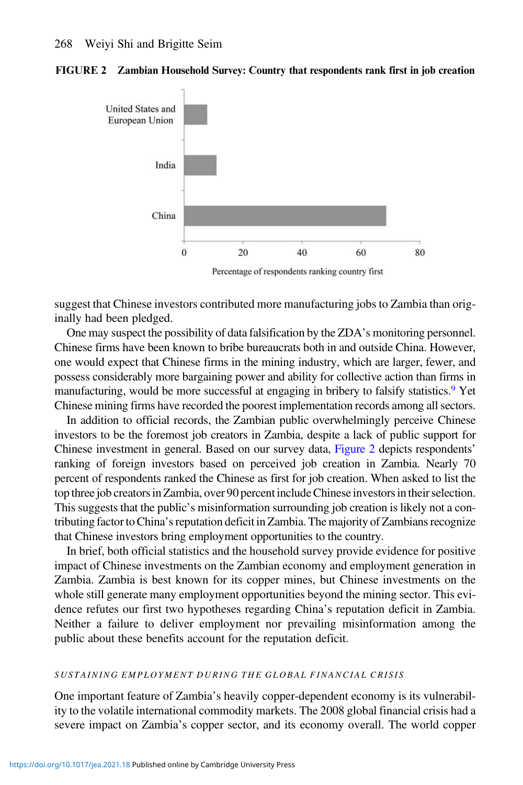

# FIGURE 2 Zambian Household Survey: Country that respondents rank first in job creation

Percentage of respondents ranking country first

suggest that Chinese investors contributed more manufacturing jobs to Zambia than originally had been pledged.

One may suspect the possibility of data falsification by the ZDA's monitoring personnel. Chinese firms have been known to bribe bureaucrats both in and outside China. However, one would expect that Chinese firms in the mining industry, which are larger, fewer, and possess considerably more bargaining power and ability for collective action than firms in manufacturing, would be more successful at engaging in bribery to falsify statistics.<sup>[9](#page-20-0)</sup> Yet Chinese mining firms have recorded the poorest implementation records among all sectors.

In addition to official records, the Zambian public overwhelmingly perceive Chinese investors to be the foremost job creators in Zambia, despite a lack of public support for Chinese investment in general. Based on our survey data, Figure 2 depicts respondents' ranking of foreign investors based on perceived job creation in Zambia. Nearly 70 percent of respondents ranked the Chinese as first for job creation. When asked to list the top three job creators in Zambia, over 90 percent include Chinese investors in their selection. This suggests that the public's misinformation surrounding job creation is likely not a contributing factor to China's reputation deficit in Zambia. The majority of Zambians recognize that Chinese investors bring employment opportunities to the country.

In brief, both official statistics and the household survey provide evidence for positive impact of Chinese investments on the Zambian economy and employment generation in Zambia. Zambia is best known for its copper mines, but Chinese investments on the whole still generate many employment opportunities beyond the mining sector. This evidence refutes our first two hypotheses regarding China's reputation deficit in Zambia. Neither a failure to deliver employment nor prevailing misinformation among the public about these benefits account for the reputation deficit.

#### SUSTAINING EMPLOYMENT DURING THE GLOBAL FINANCIAL CRISIS

One important feature of Zambia's heavily copper-dependent economy is its vulnerability to the volatile international commodity markets. The 2008 global financial crisis had a severe impact on Zambia's copper sector, and its economy overall. The world copper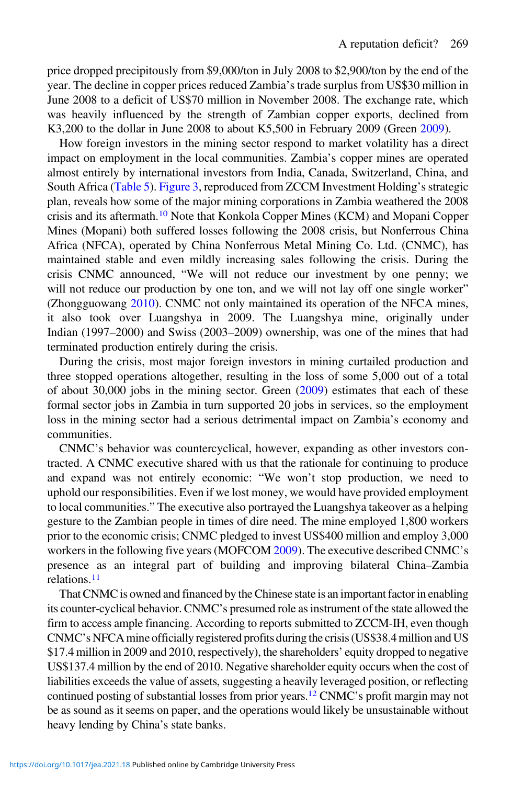price dropped precipitously from \$9,000/ton in July 2008 to \$2,900/ton by the end of the year. The decline in copper prices reduced Zambia's trade surplus from US\$30 million in June 2008 to a deficit of US\$70 million in November 2008. The exchange rate, which was heavily influenced by the strength of Zambian copper exports, declined from K3,200 to the dollar in June 2008 to about K5,500 in February 2009 (Green [2009](#page-21-0)).

How foreign investors in the mining sector respond to market volatility has a direct impact on employment in the local communities. Zambia's copper mines are operated almost entirely by international investors from India, Canada, Switzerland, China, and South Africa [\(Table 5\)](#page-11-0). [Figure 3](#page-12-0), reproduced from ZCCM Investment Holding's strategic plan, reveals how some of the major mining corporations in Zambia weathered the 2008 crisis and its aftermath.<sup>10</sup> Note that Konkola Copper Mines (KCM) and Mopani Copper Mines (Mopani) both suffered losses following the 2008 crisis, but Nonferrous China Africa (NFCA), operated by China Nonferrous Metal Mining Co. Ltd. (CNMC), has maintained stable and even mildly increasing sales following the crisis. During the crisis CNMC announced, "We will not reduce our investment by one penny; we will not reduce our production by one ton, and we will not lay off one single worker" (Zhongguowang [2010\)](#page-22-0). CNMC not only maintained its operation of the NFCA mines, it also took over Luangshya in 2009. The Luangshya mine, originally under Indian (1997–2000) and Swiss (2003–2009) ownership, was one of the mines that had terminated production entirely during the crisis.

During the crisis, most major foreign investors in mining curtailed production and three stopped operations altogether, resulting in the loss of some 5,000 out of a total of about 30,000 jobs in the mining sector. Green [\(2009](#page-21-0)) estimates that each of these formal sector jobs in Zambia in turn supported 20 jobs in services, so the employment loss in the mining sector had a serious detrimental impact on Zambia's economy and communities.

CNMC's behavior was countercyclical, however, expanding as other investors contracted. A CNMC executive shared with us that the rationale for continuing to produce and expand was not entirely economic: "We won't stop production, we need to uphold our responsibilities. Even if we lost money, we would have provided employment to local communities." The executive also portrayed the Luangshya takeover as a helping gesture to the Zambian people in times of dire need. The mine employed 1,800 workers prior to the economic crisis; CNMC pledged to invest US\$400 million and employ 3,000 workers in the following five years (MOFCOM [2009\)](#page-21-0). The executive described CNMC's presence as an integral part of building and improving bilateral China–Zambia relations.[11](#page-20-0)

That CNMC is owned and financed by the Chinese state is an important factor in enabling its counter-cyclical behavior. CNMC's presumed role as instrument of the state allowed the firm to access ample financing. According to reports submitted to ZCCM-IH, even though CNMC's NFCA mine officially registered profits during the crisis (US\$38.4 million and US \$17.4 million in 2009 and 2010, respectively), the shareholders' equity dropped to negative US\$137.4 million by the end of 2010. Negative shareholder equity occurs when the cost of liabilities exceeds the value of assets, suggesting a heavily leveraged position, or reflecting continued posting of substantial losses from prior years[.12](#page-20-0) CNMC's profit margin may not be as sound as it seems on paper, and the operations would likely be unsustainable without heavy lending by China's state banks.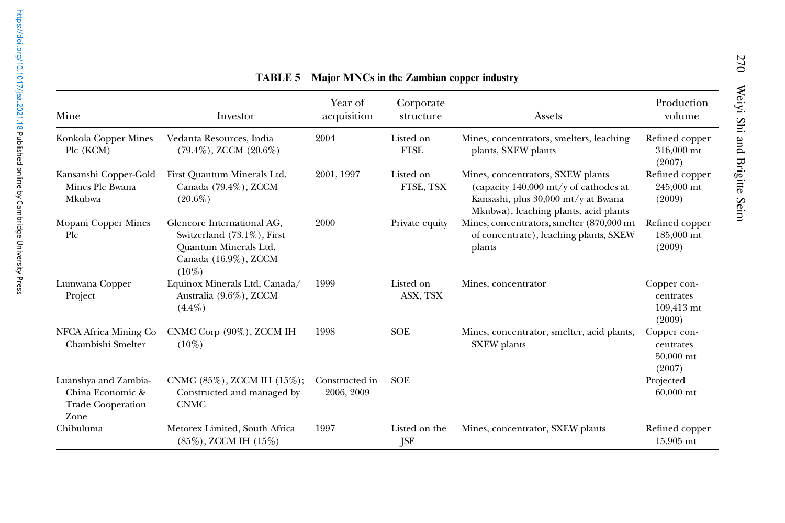<span id="page-11-0"></span>

|                                                    | <b>TABLE 5</b> Major MNCs in the Zambian copper industry                                                                  |                              |                          |                                                                                                                                                              |                                                           |
|----------------------------------------------------|---------------------------------------------------------------------------------------------------------------------------|------------------------------|--------------------------|--------------------------------------------------------------------------------------------------------------------------------------------------------------|-----------------------------------------------------------|
| Mine                                               | Investor                                                                                                                  | Year of<br>acquisition       | Corporate<br>structure   | Assets                                                                                                                                                       | Productio<br>volume                                       |
| Konkola Copper Mines<br>Plc (KCM)                  | Vedanta Resources, India<br>$(79.4\%)$ , ZCCM $(20.6\%)$                                                                  | 2004                         | Listed on<br><b>FTSE</b> | Mines, concentrators, smelters, leaching<br>plants, SXEW plants                                                                                              | Refined copy<br>$316,000 \text{ m}$<br>(2007)             |
| Kansanshi Copper-Gold<br>Mines Plc Bwana<br>Mkubwa | First Quantum Minerals Ltd,<br>Canada $(79.4\%)$ , ZCCM<br>$(20.6\%)$                                                     | 2001, 1997                   | Listed on<br>FTSE, TSX   | Mines, concentrators, SXEW plants<br>(capacity $140,000$ mt/y of cathodes at<br>Kansashi, plus 30,000 mt/y at Bwana<br>Mkubwa), leaching plants, acid plants | Refined copy<br>$245,000 \text{ m}$<br>(2009)             |
| Mopani Copper Mines<br>Plc                         | Glencore International AG,<br>Switzerland (73.1%), First<br>Quantum Minerals Ltd,<br>Canada $(16.9\%)$ , ZCCM<br>$(10\%)$ | 2000                         | Private equity           | Mines, concentrators, smelter (870,000 mt)<br>of concentrate), leaching plants, SXEW<br>plants                                                               | Refined copp<br>185,000 m<br>(2009)                       |
| Lumwana Copper<br>Project                          | Equinox Minerals Ltd, Canada/<br>Australia (9.6%), ZCCM<br>$(4.4\%)$                                                      | 1999                         | Listed on<br>ASX, TSX    | Mines, concentrator                                                                                                                                          | Copper con-<br>centrates<br>$109,413 \text{ m}$<br>(2009) |
| NFCA Africa Mining Co<br>Chambishi Smelter         | CNMC Corp (90%), ZCCM IH<br>$(10\%)$                                                                                      | 1998                         | <b>SOE</b>               | Mines, concentrator, smelter, acid plants,<br><b>SXEW</b> plants                                                                                             | Copper con-<br>centrates<br>$50,000$ mt<br>(2007)         |
| Luanshya and Zambia-<br>China Economic &           | CNMC $(85\%)$ , ZCCM IH $(15\%)$ ;<br>Constructed and managed by                                                          | Constructed in<br>2006, 2009 | <b>SOE</b>               |                                                                                                                                                              | Projected<br>$60,000$ mt                                  |

TABLE 5 Major MNCs in the Zambian copper industry

1997 Listed on the

JSE

Productionvolume

Refined copper 316,000 mt (2007)

Refined copper 245,000 mt (2009)

Refined copper 185,000 mt (2009)

> centrates109,413 mt (2009)

15,905 mt

Mines, concentrator, SXEW plants Refined copper

Trade Cooperation

CNMC

(85%), ZCCM IH (15%)

Chibuluma Metorex Limited, South Africa

Zone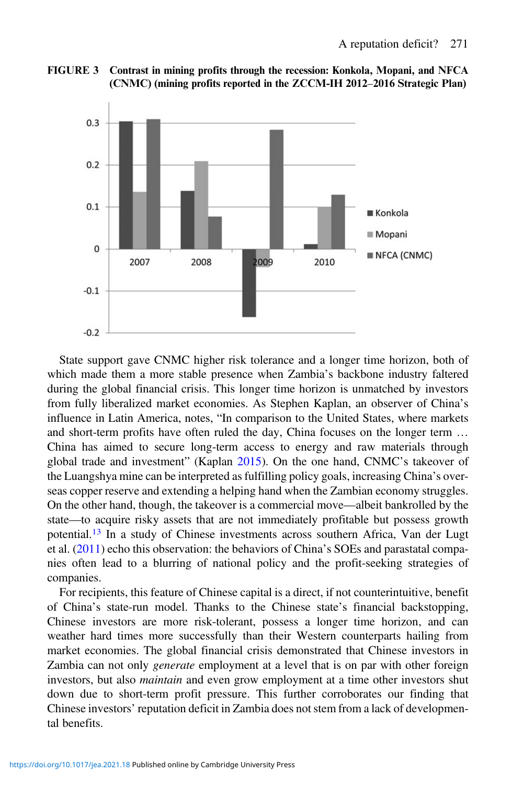<span id="page-12-0"></span>



State support gave CNMC higher risk tolerance and a longer time horizon, both of which made them a more stable presence when Zambia's backbone industry faltered during the global financial crisis. This longer time horizon is unmatched by investors from fully liberalized market economies. As Stephen Kaplan, an observer of China's influence in Latin America, notes, "In comparison to the United States, where markets and short-term profits have often ruled the day, China focuses on the longer term … China has aimed to secure long-term access to energy and raw materials through global trade and investment" (Kaplan [2015](#page-21-0)). On the one hand, CNMC's takeover of the Luangshya mine can be interpreted as fulfilling policy goals, increasing China's overseas copper reserve and extending a helping hand when the Zambian economy struggles. On the other hand, though, the takeover is a commercial move—albeit bankrolled by the state—to acquire risky assets that are not immediately profitable but possess growth potential.[13](#page-20-0) In a study of Chinese investments across southern Africa, Van der Lugt et al. [\(2011](#page-22-0)) echo this observation: the behaviors of China's SOEs and parastatal companies often lead to a blurring of national policy and the profit-seeking strategies of companies.

For recipients, this feature of Chinese capital is a direct, if not counterintuitive, benefit of China's state-run model. Thanks to the Chinese state's financial backstopping, Chinese investors are more risk-tolerant, possess a longer time horizon, and can weather hard times more successfully than their Western counterparts hailing from market economies. The global financial crisis demonstrated that Chinese investors in Zambia can not only *generate* employment at a level that is on par with other foreign investors, but also maintain and even grow employment at a time other investors shut down due to short-term profit pressure. This further corroborates our finding that Chinese investors' reputation deficit in Zambia does not stem from a lack of developmental benefits.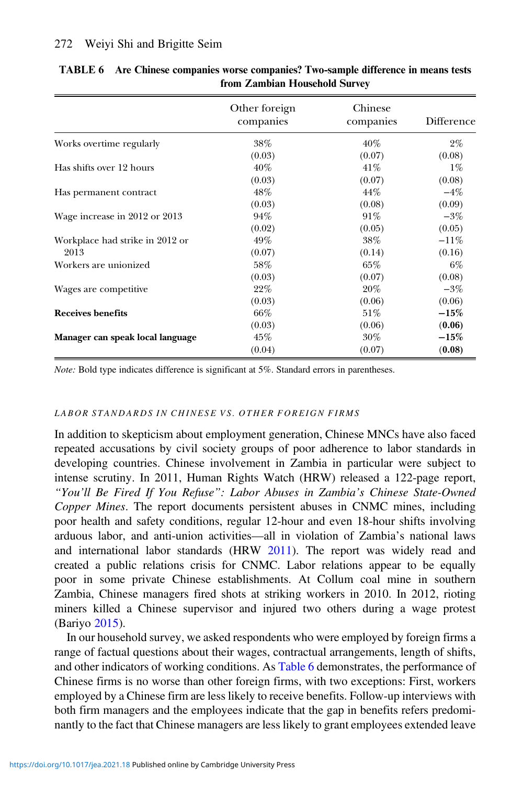|                                  | Other foreign<br>companies | Chinese<br>companies | Difference |
|----------------------------------|----------------------------|----------------------|------------|
| Works overtime regularly         | 38%                        | 40%                  | $2\%$      |
|                                  | (0.03)                     | (0.07)               | (0.08)     |
| Has shifts over 12 hours         | $40\%$                     | 41%                  | $1\%$      |
|                                  | (0.03)                     | (0.07)               | (0.08)     |
| Has permanent contract           | $48\%$                     | 44%                  | $-4\%$     |
|                                  | (0.03)                     | (0.08)               | (0.09)     |
| Wage increase in 2012 or 2013    | 94%                        | 91%                  | $-3\%$     |
|                                  | (0.02)                     | (0.05)               | (0.05)     |
| Workplace had strike in 2012 or  | 49%                        | $38\%$               | $-11\%$    |
| 2013                             | (0.07)                     | (0.14)               | (0.16)     |
| Workers are unionized            | 58%                        | 65%                  | $6\%$      |
|                                  | (0.03)                     | (0.07)               | (0.08)     |
| Wages are competitive            | 22%                        | 20%                  | $-3\%$     |
|                                  | (0.03)                     | (0.06)               | (0.06)     |
| <b>Receives benefits</b>         | 66%                        | 51%                  | $-15%$     |
|                                  | (0.03)                     | (0.06)               | (0.06)     |
| Manager can speak local language | $45\%$                     | $30\%$               | $-15%$     |
|                                  | (0.04)                     | (0.07)               | (0.08)     |

# <span id="page-13-0"></span>TABLE 6 Are Chinese companies worse companies? Two-sample difference in means tests from Zambian Household Survey

Note: Bold type indicates difference is significant at 5%. Standard errors in parentheses.

#### LABOR STANDARDS IN CHINESE VS. OTHER FOREIGN FIRMS

In addition to skepticism about employment generation, Chinese MNCs have also faced repeated accusations by civil society groups of poor adherence to labor standards in developing countries. Chinese involvement in Zambia in particular were subject to intense scrutiny. In 2011, Human Rights Watch (HRW) released a 122-page report, "You'll Be Fired If You Refuse": Labor Abuses in Zambia's Chinese State-Owned Copper Mines. The report documents persistent abuses in CNMC mines, including poor health and safety conditions, regular 12-hour and even 18-hour shifts involving arduous labor, and anti-union activities—all in violation of Zambia's national laws and international labor standards (HRW [2011](#page-21-0)). The report was widely read and created a public relations crisis for CNMC. Labor relations appear to be equally poor in some private Chinese establishments. At Collum coal mine in southern Zambia, Chinese managers fired shots at striking workers in 2010. In 2012, rioting miners killed a Chinese supervisor and injured two others during a wage protest (Bariyo [2015](#page-21-0)).

In our household survey, we asked respondents who were employed by foreign firms a range of factual questions about their wages, contractual arrangements, length of shifts, and other indicators of working conditions. As Table 6 demonstrates, the performance of Chinese firms is no worse than other foreign firms, with two exceptions: First, workers employed by a Chinese firm are less likely to receive benefits. Follow-up interviews with both firm managers and the employees indicate that the gap in benefits refers predominantly to the fact that Chinese managers are less likely to grant employees extended leave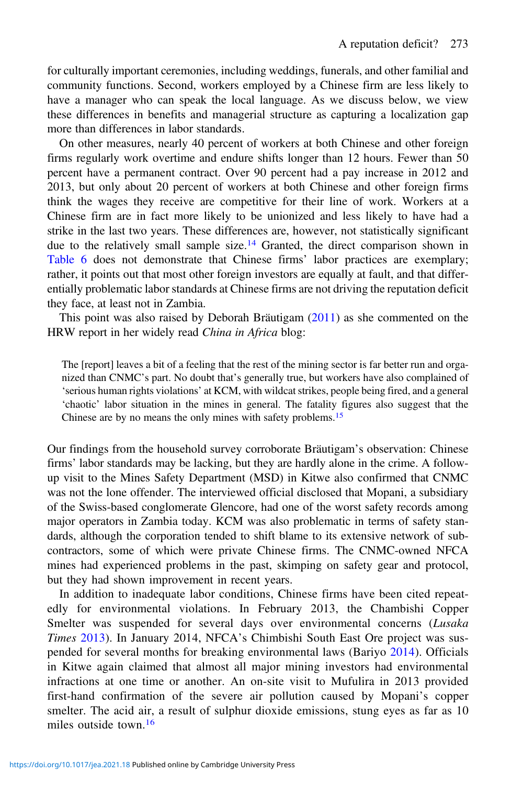for culturally important ceremonies, including weddings, funerals, and other familial and community functions. Second, workers employed by a Chinese firm are less likely to have a manager who can speak the local language. As we discuss below, we view these differences in benefits and managerial structure as capturing a localization gap more than differences in labor standards.

On other measures, nearly 40 percent of workers at both Chinese and other foreign firms regularly work overtime and endure shifts longer than 12 hours. Fewer than 50 percent have a permanent contract. Over 90 percent had a pay increase in 2012 and 2013, but only about 20 percent of workers at both Chinese and other foreign firms think the wages they receive are competitive for their line of work. Workers at a Chinese firm are in fact more likely to be unionized and less likely to have had a strike in the last two years. These differences are, however, not statistically significant due to the relatively small sample size.<sup>[14](#page-20-0)</sup> Granted, the direct comparison shown in [Table 6](#page-13-0) does not demonstrate that Chinese firms' labor practices are exemplary; rather, it points out that most other foreign investors are equally at fault, and that differentially problematic labor standards at Chinese firms are not driving the reputation deficit they face, at least not in Zambia.

This point was also raised by Deborah Bräutigam  $(2011)$  as she commented on the HRW report in her widely read China in Africa blog:

The [report] leaves a bit of a feeling that the rest of the mining sector is far better run and organized than CNMC's part. No doubt that's generally true, but workers have also complained of 'serious human rights violations' at KCM, with wildcat strikes, people being fired, and a general 'chaotic' labor situation in the mines in general. The fatality figures also suggest that the Chinese are by no means the only mines with safety problems.[15](#page-20-0)

Our findings from the household survey corroborate Bräutigam's observation: Chinese firms' labor standards may be lacking, but they are hardly alone in the crime. A followup visit to the Mines Safety Department (MSD) in Kitwe also confirmed that CNMC was not the lone offender. The interviewed official disclosed that Mopani, a subsidiary of the Swiss-based conglomerate Glencore, had one of the worst safety records among major operators in Zambia today. KCM was also problematic in terms of safety standards, although the corporation tended to shift blame to its extensive network of subcontractors, some of which were private Chinese firms. The CNMC-owned NFCA mines had experienced problems in the past, skimping on safety gear and protocol, but they had shown improvement in recent years.

In addition to inadequate labor conditions, Chinese firms have been cited repeatedly for environmental violations. In February 2013, the Chambishi Copper Smelter was suspended for several days over environmental concerns (Lusaka Times [2013](#page-21-0)). In January 2014, NFCA's Chimbishi South East Ore project was suspended for several months for breaking environmental laws (Bariyo [2014\)](#page-21-0). Officials in Kitwe again claimed that almost all major mining investors had environmental infractions at one time or another. An on-site visit to Mufulira in 2013 provided first-hand confirmation of the severe air pollution caused by Mopani's copper smelter. The acid air, a result of sulphur dioxide emissions, stung eyes as far as 10 miles outside town.<sup>[16](#page-20-0)</sup>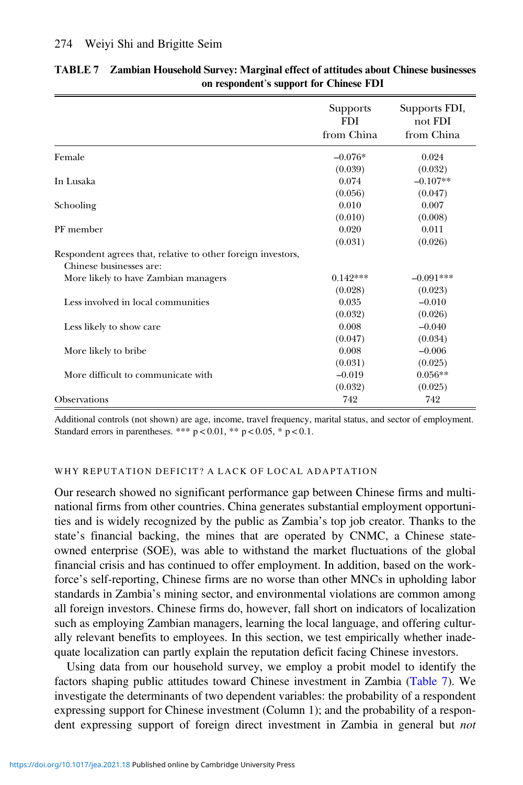|                                                              | Supports<br><b>FDI</b><br>from China | Supports FDI,<br>not FDI<br>from China |
|--------------------------------------------------------------|--------------------------------------|----------------------------------------|
| Female                                                       | $-0.076*$                            | 0.024                                  |
|                                                              | (0.039)                              | (0.032)                                |
| In Lusaka                                                    | 0.074                                | $-0.107**$                             |
|                                                              | (0.056)                              | (0.047)                                |
| Schooling                                                    | 0.010                                | 0.007                                  |
|                                                              | (0.010)                              | (0.008)                                |
| PF member                                                    | 0.020                                | 0.011                                  |
|                                                              | (0.031)                              | (0.026)                                |
| Respondent agrees that, relative to other foreign investors, |                                      |                                        |
| Chinese businesses are:                                      |                                      |                                        |
| More likely to have Zambian managers                         | $0.142***$                           | $-0.091***$                            |
|                                                              | (0.028)                              | (0.023)                                |
| Less involved in local communities                           | 0.035                                | $-0.010$                               |
|                                                              | (0.032)                              | (0.026)                                |
| Less likely to show care                                     | 0.008                                | $-0.040$                               |
|                                                              | (0.047)                              | (0.034)                                |
| More likely to bribe                                         | 0.008                                | $-0.006$                               |
|                                                              | (0.031)                              | (0.025)                                |
| More difficult to communicate with                           | $-0.019$                             | $0.056**$                              |
|                                                              | (0.032)                              | (0.025)                                |
| Observations                                                 | 742                                  | 742                                    |

# <span id="page-15-0"></span>TABLE 7 Zambian Household Survey: Marginal effect of attitudes about Chinese businesses on respondent's support for Chinese FDI

Additional controls (not shown) are age, income, travel frequency, marital status, and sector of employment. Standard errors in parentheses. \*\*\*  $p < 0.01$ , \*\*  $p < 0.05$ , \*  $p < 0.1$ .

#### WHY REPUTATION DEFICIT? A LACK OF LOCAL ADAPTATION

Our research showed no significant performance gap between Chinese firms and multinational firms from other countries. China generates substantial employment opportunities and is widely recognized by the public as Zambia's top job creator. Thanks to the state's financial backing, the mines that are operated by CNMC, a Chinese stateowned enterprise (SOE), was able to withstand the market fluctuations of the global financial crisis and has continued to offer employment. In addition, based on the workforce's self-reporting, Chinese firms are no worse than other MNCs in upholding labor standards in Zambia's mining sector, and environmental violations are common among all foreign investors. Chinese firms do, however, fall short on indicators of localization such as employing Zambian managers, learning the local language, and offering culturally relevant benefits to employees. In this section, we test empirically whether inadequate localization can partly explain the reputation deficit facing Chinese investors.

Using data from our household survey, we employ a probit model to identify the factors shaping public attitudes toward Chinese investment in Zambia (Table 7). We investigate the determinants of two dependent variables: the probability of a respondent expressing support for Chinese investment (Column 1); and the probability of a respondent expressing support of foreign direct investment in Zambia in general but not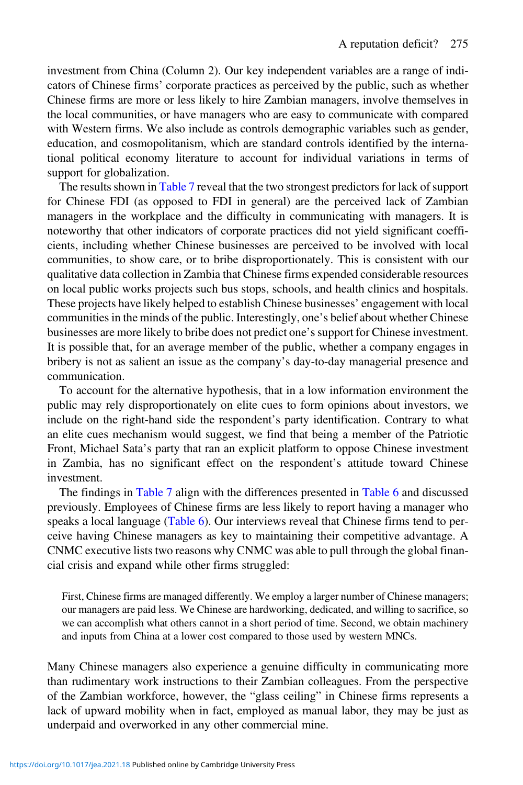investment from China (Column 2). Our key independent variables are a range of indicators of Chinese firms' corporate practices as perceived by the public, such as whether Chinese firms are more or less likely to hire Zambian managers, involve themselves in the local communities, or have managers who are easy to communicate with compared with Western firms. We also include as controls demographic variables such as gender, education, and cosmopolitanism, which are standard controls identified by the international political economy literature to account for individual variations in terms of support for globalization.

The results shown in [Table 7](#page-15-0) reveal that the two strongest predictors for lack of support for Chinese FDI (as opposed to FDI in general) are the perceived lack of Zambian managers in the workplace and the difficulty in communicating with managers. It is noteworthy that other indicators of corporate practices did not yield significant coefficients, including whether Chinese businesses are perceived to be involved with local communities, to show care, or to bribe disproportionately. This is consistent with our qualitative data collection in Zambia that Chinese firms expended considerable resources on local public works projects such bus stops, schools, and health clinics and hospitals. These projects have likely helped to establish Chinese businesses' engagement with local communities in the minds of the public. Interestingly, one's belief about whether Chinese businesses are more likely to bribe does not predict one's support for Chinese investment. It is possible that, for an average member of the public, whether a company engages in bribery is not as salient an issue as the company's day-to-day managerial presence and communication.

To account for the alternative hypothesis, that in a low information environment the public may rely disproportionately on elite cues to form opinions about investors, we include on the right-hand side the respondent's party identification. Contrary to what an elite cues mechanism would suggest, we find that being a member of the Patriotic Front, Michael Sata's party that ran an explicit platform to oppose Chinese investment in Zambia, has no significant effect on the respondent's attitude toward Chinese investment.

The findings in [Table 7](#page-15-0) align with the differences presented in [Table 6](#page-13-0) and discussed previously. Employees of Chinese firms are less likely to report having a manager who speaks a local language ([Table 6\)](#page-13-0). Our interviews reveal that Chinese firms tend to perceive having Chinese managers as key to maintaining their competitive advantage. A CNMC executive lists two reasons why CNMC was able to pull through the global financial crisis and expand while other firms struggled:

First, Chinese firms are managed differently. We employ a larger number of Chinese managers; our managers are paid less. We Chinese are hardworking, dedicated, and willing to sacrifice, so we can accomplish what others cannot in a short period of time. Second, we obtain machinery and inputs from China at a lower cost compared to those used by western MNCs.

Many Chinese managers also experience a genuine difficulty in communicating more than rudimentary work instructions to their Zambian colleagues. From the perspective of the Zambian workforce, however, the "glass ceiling" in Chinese firms represents a lack of upward mobility when in fact, employed as manual labor, they may be just as underpaid and overworked in any other commercial mine.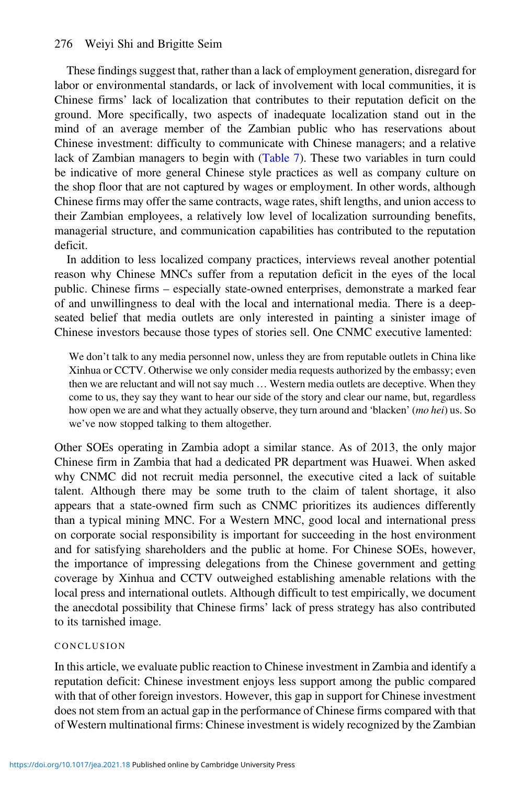These findings suggest that, rather than a lack of employment generation, disregard for labor or environmental standards, or lack of involvement with local communities, it is Chinese firms' lack of localization that contributes to their reputation deficit on the ground. More specifically, two aspects of inadequate localization stand out in the mind of an average member of the Zambian public who has reservations about Chinese investment: difficulty to communicate with Chinese managers; and a relative lack of Zambian managers to begin with ([Table 7](#page-15-0)). These two variables in turn could be indicative of more general Chinese style practices as well as company culture on the shop floor that are not captured by wages or employment. In other words, although Chinese firms may offer the same contracts, wage rates, shift lengths, and union access to their Zambian employees, a relatively low level of localization surrounding benefits, managerial structure, and communication capabilities has contributed to the reputation deficit.

In addition to less localized company practices, interviews reveal another potential reason why Chinese MNCs suffer from a reputation deficit in the eyes of the local public. Chinese firms – especially state-owned enterprises, demonstrate a marked fear of and unwillingness to deal with the local and international media. There is a deepseated belief that media outlets are only interested in painting a sinister image of Chinese investors because those types of stories sell. One CNMC executive lamented:

We don't talk to any media personnel now, unless they are from reputable outlets in China like Xinhua or CCTV. Otherwise we only consider media requests authorized by the embassy; even then we are reluctant and will not say much … Western media outlets are deceptive. When they come to us, they say they want to hear our side of the story and clear our name, but, regardless how open we are and what they actually observe, they turn around and 'blacken' (mo hei) us. So we've now stopped talking to them altogether.

Other SOEs operating in Zambia adopt a similar stance. As of 2013, the only major Chinese firm in Zambia that had a dedicated PR department was Huawei. When asked why CNMC did not recruit media personnel, the executive cited a lack of suitable talent. Although there may be some truth to the claim of talent shortage, it also appears that a state-owned firm such as CNMC prioritizes its audiences differently than a typical mining MNC. For a Western MNC, good local and international press on corporate social responsibility is important for succeeding in the host environment and for satisfying shareholders and the public at home. For Chinese SOEs, however, the importance of impressing delegations from the Chinese government and getting coverage by Xinhua and CCTV outweighed establishing amenable relations with the local press and international outlets. Although difficult to test empirically, we document the anecdotal possibility that Chinese firms' lack of press strategy has also contributed to its tarnished image.

# **CONCLUSION**

In this article, we evaluate public reaction to Chinese investment in Zambia and identify a reputation deficit: Chinese investment enjoys less support among the public compared with that of other foreign investors. However, this gap in support for Chinese investment does not stem from an actual gap in the performance of Chinese firms compared with that of Western multinational firms: Chinese investment is widely recognized by the Zambian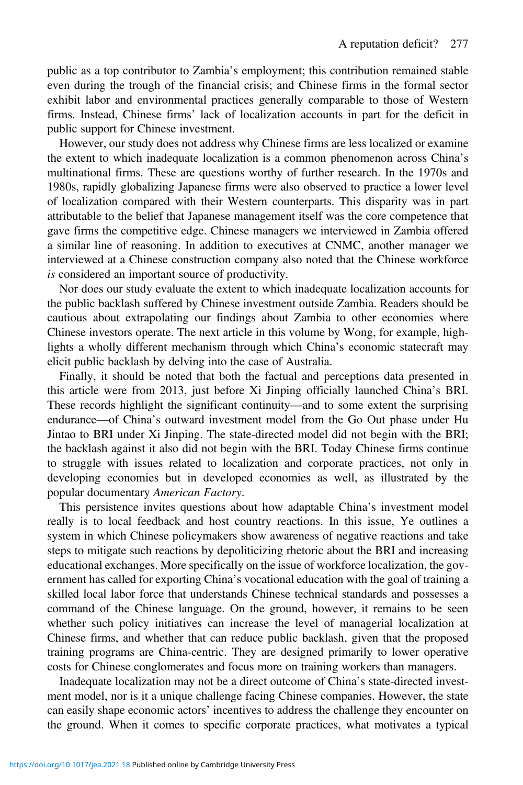public as a top contributor to Zambia's employment; this contribution remained stable even during the trough of the financial crisis; and Chinese firms in the formal sector exhibit labor and environmental practices generally comparable to those of Western firms. Instead, Chinese firms' lack of localization accounts in part for the deficit in public support for Chinese investment.

However, our study does not address why Chinese firms are less localized or examine the extent to which inadequate localization is a common phenomenon across China's multinational firms. These are questions worthy of further research. In the 1970s and 1980s, rapidly globalizing Japanese firms were also observed to practice a lower level of localization compared with their Western counterparts. This disparity was in part attributable to the belief that Japanese management itself was the core competence that gave firms the competitive edge. Chinese managers we interviewed in Zambia offered a similar line of reasoning. In addition to executives at CNMC, another manager we interviewed at a Chinese construction company also noted that the Chinese workforce is considered an important source of productivity.

Nor does our study evaluate the extent to which inadequate localization accounts for the public backlash suffered by Chinese investment outside Zambia. Readers should be cautious about extrapolating our findings about Zambia to other economies where Chinese investors operate. The next article in this volume by Wong, for example, highlights a wholly different mechanism through which China's economic statecraft may elicit public backlash by delving into the case of Australia.

Finally, it should be noted that both the factual and perceptions data presented in this article were from 2013, just before Xi Jinping officially launched China's BRI. These records highlight the significant continuity—and to some extent the surprising endurance—of China's outward investment model from the Go Out phase under Hu Jintao to BRI under Xi Jinping. The state-directed model did not begin with the BRI; the backlash against it also did not begin with the BRI. Today Chinese firms continue to struggle with issues related to localization and corporate practices, not only in developing economies but in developed economies as well, as illustrated by the popular documentary American Factory.

This persistence invites questions about how adaptable China's investment model really is to local feedback and host country reactions. In this issue, Ye outlines a system in which Chinese policymakers show awareness of negative reactions and take steps to mitigate such reactions by depoliticizing rhetoric about the BRI and increasing educational exchanges. More specifically on the issue of workforce localization, the government has called for exporting China's vocational education with the goal of training a skilled local labor force that understands Chinese technical standards and possesses a command of the Chinese language. On the ground, however, it remains to be seen whether such policy initiatives can increase the level of managerial localization at Chinese firms, and whether that can reduce public backlash, given that the proposed training programs are China-centric. They are designed primarily to lower operative costs for Chinese conglomerates and focus more on training workers than managers.

Inadequate localization may not be a direct outcome of China's state-directed investment model, nor is it a unique challenge facing Chinese companies. However, the state can easily shape economic actors' incentives to address the challenge they encounter on the ground. When it comes to specific corporate practices, what motivates a typical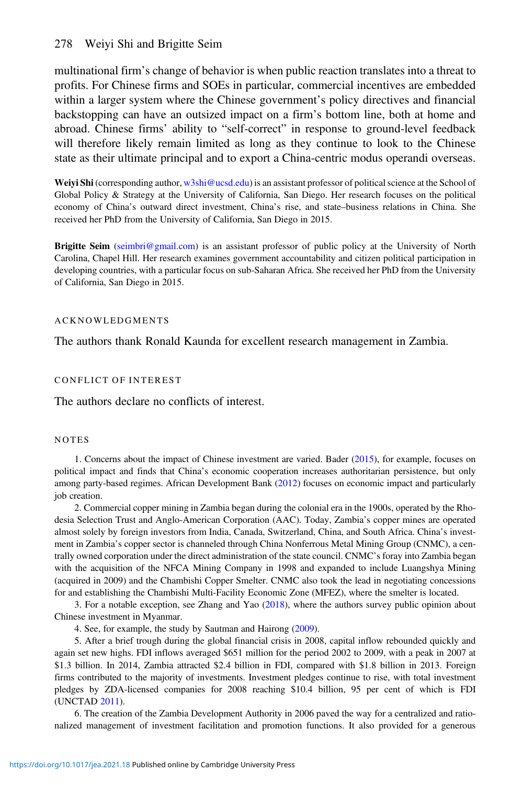# <span id="page-19-0"></span>278 Weiyi Shi and Brigitte Seim

multinational firm's change of behavior is when public reaction translates into a threat to profits. For Chinese firms and SOEs in particular, commercial incentives are embedded within a larger system where the Chinese government's policy directives and financial backstopping can have an outsized impact on a firm's bottom line, both at home and abroad. Chinese firms' ability to "self-correct" in response to ground-level feedback will therefore likely remain limited as long as they continue to look to the Chinese state as their ultimate principal and to export a China-centric modus operandi overseas.

Weiyi Shi (corresponding author, [w3shi@ucsd.edu\)](mailto:w3shi@ucsd.edu) is an assistant professor of political science at the School of Global Policy & Strategy at the University of California, San Diego. Her research focuses on the political economy of China's outward direct investment, China's rise, and state–business relations in China. She received her PhD from the University of California, San Diego in 2015.

Brigitte Seim ([seimbri@gmail.com](mailto:seimbri@gmail.com)) is an assistant professor of public policy at the University of North Carolina, Chapel Hill. Her research examines government accountability and citizen political participation in developing countries, with a particular focus on sub-Saharan Africa. She received her PhD from the University of California, San Diego in 2015.

#### ACKNOWLEDGMENTS

The authors thank Ronald Kaunda for excellent research management in Zambia.

#### CONFLICT OF INTEREST

The authors declare no conflicts of interest.

#### NOTES

1. Concerns about the impact of Chinese investment are varied. Bader ([2015\)](#page-21-0), for example, focuses on political impact and finds that China's economic cooperation increases authoritarian persistence, but only among party-based regimes. African Development Bank ([2012\)](#page-20-0) focuses on economic impact and particularly job creation.

2. Commercial copper mining in Zambia began during the colonial era in the 1900s, operated by the Rhodesia Selection Trust and Anglo-American Corporation (AAC). Today, Zambia's copper mines are operated almost solely by foreign investors from India, Canada, Switzerland, China, and South Africa. China's investment in Zambia's copper sector is channeled through China Nonferrous Metal Mining Group (CNMC), a centrally owned corporation under the direct administration of the state council. CNMC's foray into Zambia began with the acquisition of the NFCA Mining Company in 1998 and expanded to include Luangshya Mining (acquired in 2009) and the Chambishi Copper Smelter. CNMC also took the lead in negotiating concessions for and establishing the Chambishi Multi-Facility Economic Zone (MFEZ), where the smelter is located.

3. For a notable exception, see Zhang and Yao [\(2018](#page-22-0)), where the authors survey public opinion about Chinese investment in Myanmar.

4. See, for example, the study by Sautman and Hairong ([2009](#page-21-0)).

5. After a brief trough during the global financial crisis in 2008, capital inflow rebounded quickly and again set new highs. FDI inflows averaged \$651 million for the period 2002 to 2009, with a peak in 2007 at \$1.3 billion. In 2014, Zambia attracted \$2.4 billion in FDI, compared with \$1.8 billion in 2013. Foreign firms contributed to the majority of investments. Investment pledges continue to rise, with total investment pledges by ZDA-licensed companies for 2008 reaching \$10.4 billion, 95 per cent of which is FDI (UNCTAD [2011\)](#page-22-0).

6. The creation of the Zambia Development Authority in 2006 paved the way for a centralized and rationalized management of investment facilitation and promotion functions. It also provided for a generous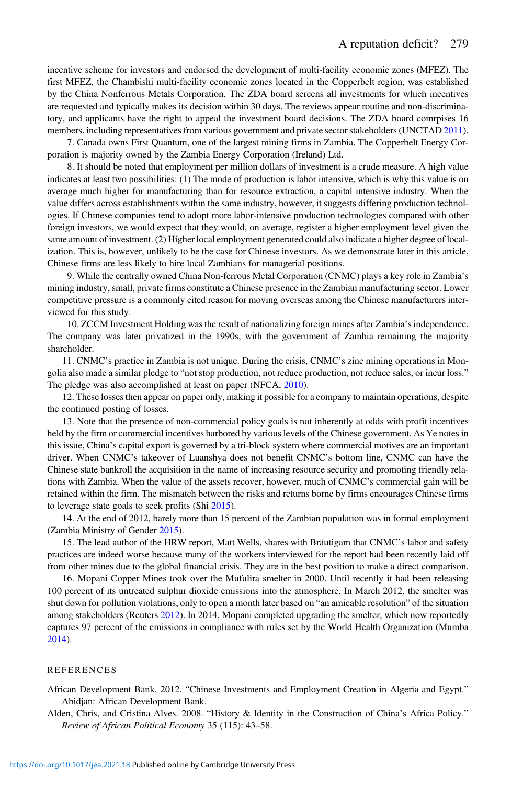<span id="page-20-0"></span>incentive scheme for investors and endorsed the development of multi-facility economic zones (MFEZ). The first MFEZ, the Chambishi multi-facility economic zones located in the Copperbelt region, was established by the China Nonferrous Metals Corporation. The ZDA board screens all investments for which incentives are requested and typically makes its decision within 30 days. The reviews appear routine and non-discriminatory, and applicants have the right to appeal the investment board decisions. The ZDA board comrpises 16 members, including representatives from various government and private sector stakeholders (UNCTAD [2011](#page-22-0)).

7. Canada owns First Quantum, one of the largest mining firms in Zambia. The Copperbelt Energy Corporation is majority owned by the Zambia Energy Corporation (Ireland) Ltd.

8. It should be noted that employment per million dollars of investment is a crude measure. A high value indicates at least two possibilities: (1) The mode of production is labor intensive, which is why this value is on average much higher for manufacturing than for resource extraction, a capital intensive industry. When the value differs across establishments within the same industry, however, it suggests differing production technologies. If Chinese companies tend to adopt more labor-intensive production technologies compared with other foreign investors, we would expect that they would, on average, register a higher employment level given the same amount of investment. (2) Higher local employment generated could also indicate a higher degree of localization. This is, however, unlikely to be the case for Chinese investors. As we demonstrate later in this article, Chinese firms are less likely to hire local Zambians for managerial positions.

9. While the centrally owned China Non-ferrous Metal Corporation (CNMC) plays a key role in Zambia's mining industry, small, private firms constitute a Chinese presence in the Zambian manufacturing sector. Lower competitive pressure is a commonly cited reason for moving overseas among the Chinese manufacturers interviewed for this study.

10. ZCCM Investment Holding was the result of nationalizing foreign mines after Zambia's independence. The company was later privatized in the 1990s, with the government of Zambia remaining the majority shareholder.

11. CNMC's practice in Zambia is not unique. During the crisis, CNMC's zinc mining operations in Mongolia also made a similar pledge to "not stop production, not reduce production, not reduce sales, or incur loss." The pledge was also accomplished at least on paper (NFCA, [2010](#page-21-0)).

12. These losses then appear on paper only, making it possible for a company to maintain operations, despite the continued posting of losses.

13. Note that the presence of non-commercial policy goals is not inherently at odds with profit incentives held by the firm or commercial incentives harbored by various levels of the Chinese government. As Ye notes in this issue, China's capital export is governed by a tri-block system where commercial motives are an important driver. When CNMC's takeover of Luanshya does not benefit CNMC's bottom line, CNMC can have the Chinese state bankroll the acquisition in the name of increasing resource security and promoting friendly relations with Zambia. When the value of the assets recover, however, much of CNMC's commercial gain will be retained within the firm. The mismatch between the risks and returns borne by firms encourages Chinese firms to leverage state goals to seek profits (Shi [2015\)](#page-21-0).

14. At the end of 2012, barely more than 15 percent of the Zambian population was in formal employment (Zambia Ministry of Gender [2015\)](#page-22-0).

15. The lead author of the HRW report, Matt Wells, shares with Bräutigam that CNMC's labor and safety practices are indeed worse because many of the workers interviewed for the report had been recently laid off from other mines due to the global financial crisis. They are in the best position to make a direct comparison.

16. Mopani Copper Mines took over the Mufulira smelter in 2000. Until recently it had been releasing 100 percent of its untreated sulphur dioxide emissions into the atmosphere. In March 2012, the smelter was shut down for pollution violations, only to open a month later based on "an amicable resolution" of the situation among stakeholders (Reuters [2012\)](#page-21-0). In 2014, Mopani completed upgrading the smelter, which now reportedly captures 97 percent of the emissions in compliance with rules set by the World Health Organization (Mumba [2014\)](#page-21-0).

# **REFERENCES**

African Development Bank. 2012. "Chinese Investments and Employment Creation in Algeria and Egypt." Abidjan: African Development Bank.

Alden, Chris, and Cristina Alves. 2008. "History & Identity in the Construction of China's Africa Policy." Review of African Political Economy 35 (115): 43–58.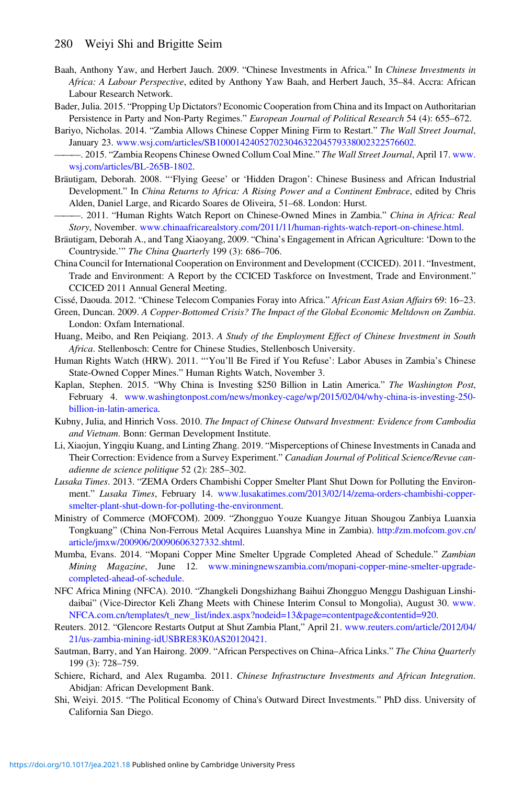# <span id="page-21-0"></span>280 Weiyi Shi and Brigitte Seim

- Baah, Anthony Yaw, and Herbert Jauch. 2009. "Chinese Investments in Africa." In Chinese Investments in Africa: A Labour Perspective, edited by Anthony Yaw Baah, and Herbert Jauch, 35–84. Accra: African Labour Research Network.
- Bader, Julia. 2015. "Propping Up Dictators? Economic Cooperation from China and its Impact on Authoritarian Persistence in Party and Non-Party Regimes." European Journal of Political Research 54 (4): 655–672.
- Bariyo, Nicholas. 2014. "Zambia Allows Chinese Copper Mining Firm to Restart." The Wall Street Journal, January 23. [www.wsj.com/articles/SB10001424052702304632204579338002322576602.](https://www.wsj.com/articles/SB10001424052702304632204579338002322576602)
- -. 2015. "Zambia Reopens Chinese Owned Collum Coal Mine." The Wall Street Journal, April 17. [www.](https://www.wsj.com/articles/BL-265B-1802) [wsj.com/articles/BL-265B-1802](https://www.wsj.com/articles/BL-265B-1802).
- Bräutigam, Deborah. 2008. "'Flying Geese' or 'Hidden Dragon': Chinese Business and African Industrial Development." In China Returns to Africa: A Rising Power and a Continent Embrace, edited by Chris Alden, Daniel Large, and Ricardo Soares de Oliveira, 51–68. London: Hurst.
- 2011. "Human Rights Watch Report on Chinese-Owned Mines in Zambia." China in Africa: Real Story, November. [www.chinaafricarealstory.com/2011/11/human-rights-watch-report-on-chinese.html](https://www.chinaafricarealstory.com/2011/11/human-rights-watch-report-on-chinese.html).
- Bräutigam, Deborah A., and Tang Xiaoyang, 2009. "China's Engagement in African Agriculture: 'Down to the Countryside.'" The China Quarterly 199 (3): 686–706.
- China Council for International Cooperation on Environment and Development (CCICED). 2011. "Investment, Trade and Environment: A Report by the CCICED Taskforce on Investment, Trade and Environment." CCICED 2011 Annual General Meeting.
- Cissé, Daouda. 2012. "Chinese Telecom Companies Foray into Africa." African East Asian Affairs 69: 16–23.
- Green, Duncan. 2009. A Copper-Bottomed Crisis? The Impact of the Global Economic Meltdown on Zambia. London: Oxfam International.
- Huang, Meibo, and Ren Peigiang. 2013. A Study of the Employment Effect of Chinese Investment in South Africa. Stellenbosch: Centre for Chinese Studies, Stellenbosch University.
- Human Rights Watch (HRW). 2011. "'You'll Be Fired if You Refuse': Labor Abuses in Zambia's Chinese State-Owned Copper Mines." Human Rights Watch, November 3.
- Kaplan, Stephen. 2015. "Why China is Investing \$250 Billion in Latin America." The Washington Post, February 4. [www.washingtonpost.com/news/monkey-cage/wp/2015/02/04/why-china-is-investing-250](https://www.washingtonpost.com/news/monkey-cage/wp/2015/02/04/why-china-is-investing-250-billion-in-latin-america/) [billion-in-latin-america](https://www.washingtonpost.com/news/monkey-cage/wp/2015/02/04/why-china-is-investing-250-billion-in-latin-america/).
- Kubny, Julia, and Hinrich Voss. 2010. The Impact of Chinese Outward Investment: Evidence from Cambodia and Vietnam. Bonn: German Development Institute.
- Li, Xiaojun, Yingqiu Kuang, and Linting Zhang. 2019. "Misperceptions of Chinese Investments in Canada and Their Correction: Evidence from a Survey Experiment." Canadian Journal of Political Science/Revue canadienne de science politique 52 (2): 285–302.
- Lusaka Times. 2013. "ZEMA Orders Chambishi Copper Smelter Plant Shut Down for Polluting the Environment." Lusaka Times, February 14. [www.lusakatimes.com/2013/02/14/zema-orders-chambishi-copper](https://www.lusakatimes.com/2013/02/14/zema-orders-chambishi-copper-smelter-plant-shut-down-for-polluting-the-environment)[smelter-plant-shut-down-for-polluting-the-environment](https://www.lusakatimes.com/2013/02/14/zema-orders-chambishi-copper-smelter-plant-shut-down-for-polluting-the-environment).
- Ministry of Commerce (MOFCOM). 2009. "Zhongguo Youze Kuangye Jituan Shougou Zanbiya Luanxia Tongkuang" (China Non-Ferrous Metal Acquires Luanshya Mine in Zambia). [http://zm.mofcom.gov.cn/](http://zm.mofcom.gov.cn/article/jmxw/200906/20090606327332.shtml) [article/jmxw/200906/20090606327332.shtml](http://zm.mofcom.gov.cn/article/jmxw/200906/20090606327332.shtml).
- Mumba, Evans. 2014. "Mopani Copper Mine Smelter Upgrade Completed Ahead of Schedule." Zambian Mining Magazine, June 12. [www.miningnewszambia.com/mopani-copper-mine-smelter-upgrade](https://www.miningnewszambia.com/mopani-copper-mine-smelter-upgrade-completed-ahead-of-schedule)[completed-ahead-of-schedule](https://www.miningnewszambia.com/mopani-copper-mine-smelter-upgrade-completed-ahead-of-schedule).
- NFC Africa Mining (NFCA). 2010. "Zhangkeli Dongshizhang Baihui Zhongguo Menggu Dashiguan Linshidaibai" (Vice-Director Keli Zhang Meets with Chinese Interim Consul to Mongolia), August 30. [www.](https://www.NFCA.com.cn/templates/t_new_list/index.aspx?nodeid=13&page=contentpage&contentid=920) [NFCA.com.cn/templates/t\\_new\\_list/index.aspx?nodeid=13&page=contentpage&contentid=920](https://www.NFCA.com.cn/templates/t_new_list/index.aspx?nodeid=13&page=contentpage&contentid=920).
- Reuters. 2012. "Glencore Restarts Output at Shut Zambia Plant," April 21. [www.reuters.com/article/2012/04/](https://www.reuters.com/article/2012/04/21/us-zambia-mining-idUSBRE83K0AS20120421) [21/us-zambia-mining-idUSBRE83K0AS20120421.](https://www.reuters.com/article/2012/04/21/us-zambia-mining-idUSBRE83K0AS20120421)
- Sautman, Barry, and Yan Hairong. 2009. "African Perspectives on China–Africa Links." The China Quarterly 199 (3): 728–759.
- Schiere, Richard, and Alex Rugamba. 2011. Chinese Infrastructure Investments and African Integration. Abidjan: African Development Bank.
- Shi, Weiyi. 2015. "The Political Economy of China's Outward Direct Investments." PhD diss. University of California San Diego.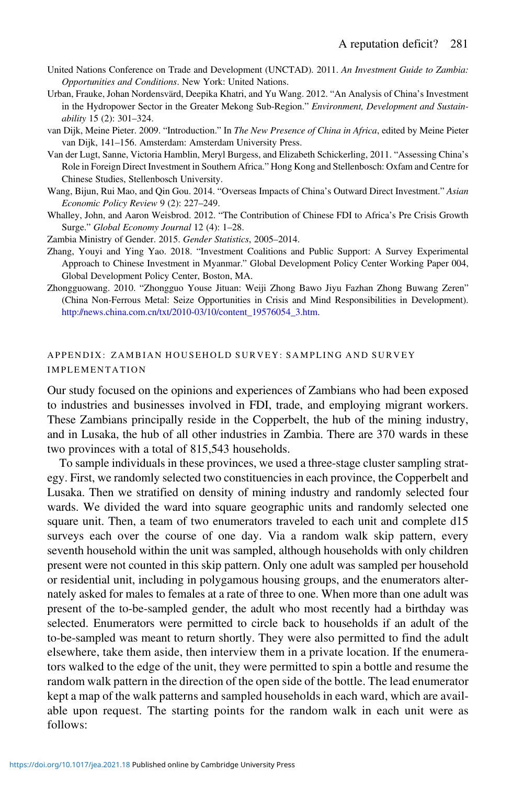- <span id="page-22-0"></span>United Nations Conference on Trade and Development (UNCTAD). 2011. An Investment Guide to Zambia: Opportunities and Conditions. New York: United Nations.
- Urban, Frauke, Johan Nordensvärd, Deepika Khatri, and Yu Wang. 2012. "An Analysis of China's Investment in the Hydropower Sector in the Greater Mekong Sub-Region." Environment, Development and Sustainability 15 (2): 301–324.
- van Dijk, Meine Pieter. 2009. "Introduction." In The New Presence of China in Africa, edited by Meine Pieter van Dijk, 141–156. Amsterdam: Amsterdam University Press.
- Van der Lugt, Sanne, Victoria Hamblin, Meryl Burgess, and Elizabeth Schickerling, 2011. "Assessing China's Role in Foreign Direct Investment in Southern Africa." Hong Kong and Stellenbosch: Oxfam and Centre for Chinese Studies, Stellenbosch University.
- Wang, Bijun, Rui Mao, and Qin Gou. 2014. "Overseas Impacts of China's Outward Direct Investment." Asian Economic Policy Review 9 (2): 227–249.
- Whalley, John, and Aaron Weisbrod. 2012. "The Contribution of Chinese FDI to Africa's Pre Crisis Growth Surge." Global Economy Journal 12 (4): 1–28.

Zambia Ministry of Gender. 2015. Gender Statistics, 2005–2014.

- Zhang, Youyi and Ying Yao. 2018. "Investment Coalitions and Public Support: A Survey Experimental Approach to Chinese Investment in Myanmar." Global Development Policy Center Working Paper 004, Global Development Policy Center, Boston, MA.
- Zhongguowang. 2010. "Zhongguo Youse Jituan: Weiji Zhong Bawo Jiyu Fazhan Zhong Buwang Zeren" (China Non-Ferrous Metal: Seize Opportunities in Crisis and Mind Responsibilities in Development). [http://news.china.com.cn/txt/2010-03/10/content\\_19576054\\_3.htm](http://news.china.com.cn/txt/2010-03/10/content_19576054_3.htm).

# APPENDIX: ZAMBIAN HOUSEHOLD SURVEY: SAMPLING AND SURVEY IMPLEMENTATION

Our study focused on the opinions and experiences of Zambians who had been exposed to industries and businesses involved in FDI, trade, and employing migrant workers. These Zambians principally reside in the Copperbelt, the hub of the mining industry, and in Lusaka, the hub of all other industries in Zambia. There are 370 wards in these two provinces with a total of 815,543 households.

To sample individuals in these provinces, we used a three-stage cluster sampling strategy. First, we randomly selected two constituencies in each province, the Copperbelt and Lusaka. Then we stratified on density of mining industry and randomly selected four wards. We divided the ward into square geographic units and randomly selected one square unit. Then, a team of two enumerators traveled to each unit and complete d15 surveys each over the course of one day. Via a random walk skip pattern, every seventh household within the unit was sampled, although households with only children present were not counted in this skip pattern. Only one adult was sampled per household or residential unit, including in polygamous housing groups, and the enumerators alternately asked for males to females at a rate of three to one. When more than one adult was present of the to-be-sampled gender, the adult who most recently had a birthday was selected. Enumerators were permitted to circle back to households if an adult of the to-be-sampled was meant to return shortly. They were also permitted to find the adult elsewhere, take them aside, then interview them in a private location. If the enumerators walked to the edge of the unit, they were permitted to spin a bottle and resume the random walk pattern in the direction of the open side of the bottle. The lead enumerator kept a map of the walk patterns and sampled households in each ward, which are available upon request. The starting points for the random walk in each unit were as follows: